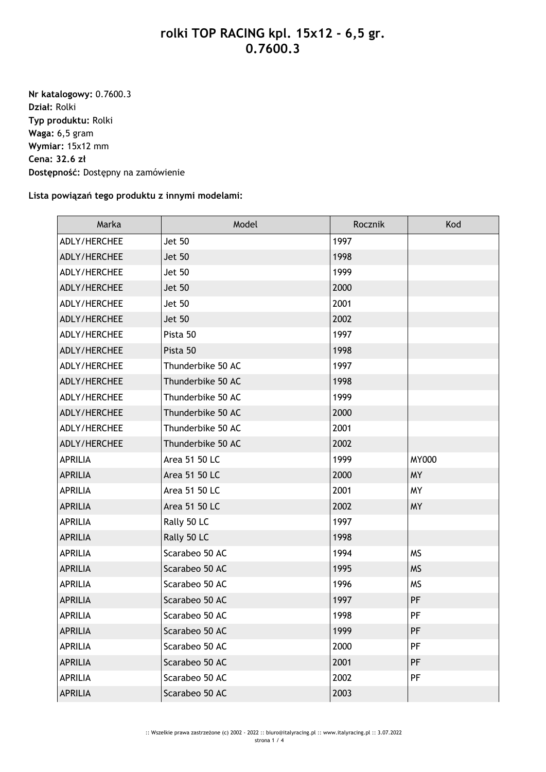## **rolki TOP RACING kpl. 15x12 - 6,5 gr. 0.7600.3**

**Nr katalogowy:** 0.7600.3 **Dział:** Rolki **Typ produktu:** Rolki **Waga:** 6,5 gram **Wymiar:** 15x12 mm **Cena: 32.6 zł Dostępność:** Dostępny na zamówienie

## **Lista powiązań tego produktu z innymi modelami:**

| Marka          | Model             | Rocznik | Kod          |
|----------------|-------------------|---------|--------------|
| ADLY/HERCHEE   | <b>Jet 50</b>     | 1997    |              |
| ADLY/HERCHEE   | <b>Jet 50</b>     | 1998    |              |
| ADLY/HERCHEE   | <b>Jet 50</b>     | 1999    |              |
| ADLY/HERCHEE   | <b>Jet 50</b>     | 2000    |              |
| ADLY/HERCHEE   | <b>Jet 50</b>     | 2001    |              |
| ADLY/HERCHEE   | <b>Jet 50</b>     | 2002    |              |
| ADLY/HERCHEE   | Pista 50          | 1997    |              |
| ADLY/HERCHEE   | Pista 50          | 1998    |              |
| ADLY/HERCHEE   | Thunderbike 50 AC | 1997    |              |
| ADLY/HERCHEE   | Thunderbike 50 AC | 1998    |              |
| ADLY/HERCHEE   | Thunderbike 50 AC | 1999    |              |
| ADLY/HERCHEE   | Thunderbike 50 AC | 2000    |              |
| ADLY/HERCHEE   | Thunderbike 50 AC | 2001    |              |
| ADLY/HERCHEE   | Thunderbike 50 AC | 2002    |              |
| <b>APRILIA</b> | Area 51 50 LC     | 1999    | <b>MY000</b> |
| <b>APRILIA</b> | Area 51 50 LC     | 2000    | <b>MY</b>    |
| <b>APRILIA</b> | Area 51 50 LC     | 2001    | MY           |
| <b>APRILIA</b> | Area 51 50 LC     | 2002    | <b>MY</b>    |
| <b>APRILIA</b> | Rally 50 LC       | 1997    |              |
| <b>APRILIA</b> | Rally 50 LC       | 1998    |              |
| APRILIA        | Scarabeo 50 AC    | 1994    | <b>MS</b>    |
| <b>APRILIA</b> | Scarabeo 50 AC    | 1995    | <b>MS</b>    |
| <b>APRILIA</b> | Scarabeo 50 AC    | 1996    | <b>MS</b>    |
| <b>APRILIA</b> | Scarabeo 50 AC    | 1997    | PF           |
| <b>APRILIA</b> | Scarabeo 50 AC    | 1998    | PF           |
| <b>APRILIA</b> | Scarabeo 50 AC    | 1999    | PF           |
| APRILIA        | Scarabeo 50 AC    | 2000    | PF           |
| <b>APRILIA</b> | Scarabeo 50 AC    | 2001    | PF           |
| <b>APRILIA</b> | Scarabeo 50 AC    | 2002    | PF           |
| <b>APRILIA</b> | Scarabeo 50 AC    | 2003    |              |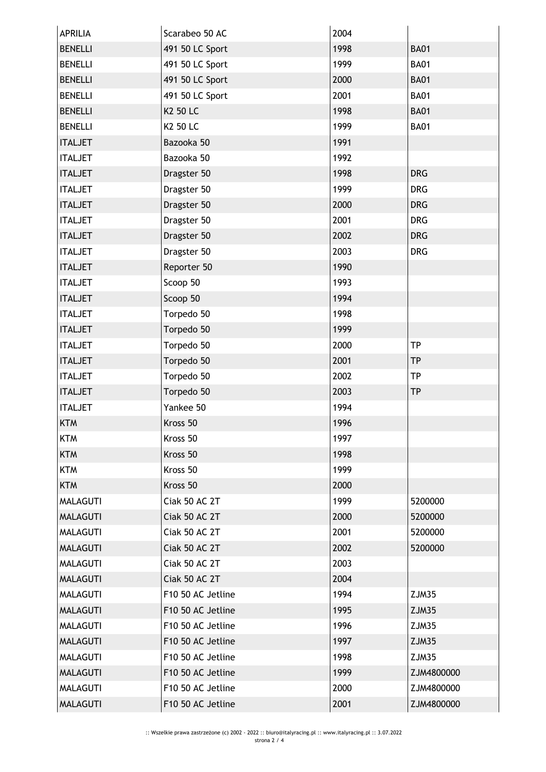| <b>APRILIA</b>  | Scarabeo 50 AC    | 2004 |             |
|-----------------|-------------------|------|-------------|
| <b>BENELLI</b>  | 491 50 LC Sport   | 1998 | <b>BA01</b> |
| <b>BENELLI</b>  | 491 50 LC Sport   | 1999 | <b>BA01</b> |
| <b>BENELLI</b>  | 491 50 LC Sport   | 2000 | <b>BA01</b> |
| <b>BENELLI</b>  | 491 50 LC Sport   | 2001 | <b>BA01</b> |
| <b>BENELLI</b>  | K2 50 LC          | 1998 | <b>BA01</b> |
| <b>BENELLI</b>  | K2 50 LC          | 1999 | <b>BA01</b> |
| <b>ITALJET</b>  | Bazooka 50        | 1991 |             |
| <b>ITALJET</b>  | Bazooka 50        | 1992 |             |
| <b>ITALJET</b>  | Dragster 50       | 1998 | <b>DRG</b>  |
| <b>ITALJET</b>  | Dragster 50       | 1999 | <b>DRG</b>  |
| <b>ITALJET</b>  | Dragster 50       | 2000 | <b>DRG</b>  |
| <b>ITALJET</b>  | Dragster 50       | 2001 | <b>DRG</b>  |
| <b>ITALJET</b>  | Dragster 50       | 2002 | <b>DRG</b>  |
| <b>ITALJET</b>  | Dragster 50       | 2003 | <b>DRG</b>  |
| <b>ITALJET</b>  | Reporter 50       | 1990 |             |
| <b>ITALJET</b>  | Scoop 50          | 1993 |             |
| <b>ITALJET</b>  | Scoop 50          | 1994 |             |
| <b>ITALJET</b>  | Torpedo 50        | 1998 |             |
| <b>ITALJET</b>  | Torpedo 50        | 1999 |             |
| <b>ITALJET</b>  | Torpedo 50        | 2000 | <b>TP</b>   |
| <b>ITALJET</b>  | Torpedo 50        | 2001 | <b>TP</b>   |
| <b>ITALJET</b>  | Torpedo 50        | 2002 | <b>TP</b>   |
| <b>ITALJET</b>  | Torpedo 50        | 2003 | <b>TP</b>   |
| <b>ITALJET</b>  | Yankee 50         | 1994 |             |
| <b>KTM</b>      | Kross 50          | 1996 |             |
| KTM             | Kross 50          | 1997 |             |
| <b>KTM</b>      | Kross 50          | 1998 |             |
| <b>KTM</b>      | Kross 50          | 1999 |             |
| <b>KTM</b>      | Kross 50          | 2000 |             |
| <b>MALAGUTI</b> | Ciak 50 AC 2T     | 1999 | 5200000     |
| <b>MALAGUTI</b> | Ciak 50 AC 2T     | 2000 | 5200000     |
| <b>MALAGUTI</b> | Ciak 50 AC 2T     | 2001 | 5200000     |
| <b>MALAGUTI</b> | Ciak 50 AC 2T     | 2002 | 5200000     |
| <b>MALAGUTI</b> | Ciak 50 AC 2T     | 2003 |             |
| <b>MALAGUTI</b> | Ciak 50 AC 2T     | 2004 |             |
| <b>MALAGUTI</b> | F10 50 AC Jetline | 1994 | ZJM35       |
| <b>MALAGUTI</b> | F10 50 AC Jetline | 1995 | ZJM35       |
| <b>MALAGUTI</b> | F10 50 AC Jetline | 1996 | ZJM35       |
| <b>MALAGUTI</b> | F10 50 AC Jetline | 1997 | ZJM35       |
| <b>MALAGUTI</b> | F10 50 AC Jetline | 1998 | ZJM35       |
| <b>MALAGUTI</b> | F10 50 AC Jetline | 1999 | ZJM4800000  |
| <b>MALAGUTI</b> | F10 50 AC Jetline | 2000 | ZJM4800000  |
| <b>MALAGUTI</b> | F10 50 AC Jetline | 2001 | ZJM4800000  |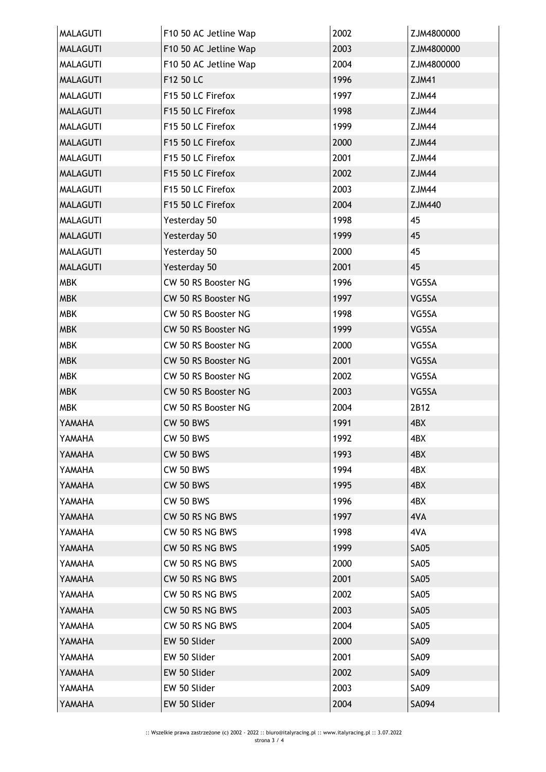| <b>MALAGUTI</b> | F10 50 AC Jetline Wap | 2002 | ZJM4800000   |
|-----------------|-----------------------|------|--------------|
| <b>MALAGUTI</b> | F10 50 AC Jetline Wap | 2003 | ZJM4800000   |
| <b>MALAGUTI</b> | F10 50 AC Jetline Wap | 2004 | ZJM4800000   |
| <b>MALAGUTI</b> | F12 50 LC             | 1996 | <b>ZJM41</b> |
| <b>MALAGUTI</b> | F15 50 LC Firefox     | 1997 | ZJM44        |
| <b>MALAGUTI</b> | F15 50 LC Firefox     | 1998 | ZJM44        |
| <b>MALAGUTI</b> | F15 50 LC Firefox     | 1999 | ZJM44        |
| <b>MALAGUTI</b> | F15 50 LC Firefox     | 2000 | ZJM44        |
| <b>MALAGUTI</b> | F15 50 LC Firefox     | 2001 | ZJM44        |
| <b>MALAGUTI</b> | F15 50 LC Firefox     | 2002 | <b>ZJM44</b> |
| <b>MALAGUTI</b> | F15 50 LC Firefox     | 2003 | ZJM44        |
| <b>MALAGUTI</b> | F15 50 LC Firefox     | 2004 | ZJM440       |
| <b>MALAGUTI</b> | Yesterday 50          | 1998 | 45           |
| <b>MALAGUTI</b> | Yesterday 50          | 1999 | 45           |
| <b>MALAGUTI</b> | Yesterday 50          | 2000 | 45           |
| <b>MALAGUTI</b> | Yesterday 50          | 2001 | 45           |
| <b>MBK</b>      | CW 50 RS Booster NG   | 1996 | VG5SA        |
| <b>MBK</b>      | CW 50 RS Booster NG   | 1997 | VG5SA        |
| <b>MBK</b>      | CW 50 RS Booster NG   | 1998 | VG5SA        |
| <b>MBK</b>      | CW 50 RS Booster NG   | 1999 | VG5SA        |
| <b>MBK</b>      | CW 50 RS Booster NG   | 2000 | VG5SA        |
| <b>MBK</b>      | CW 50 RS Booster NG   | 2001 | VG5SA        |
| <b>MBK</b>      | CW 50 RS Booster NG   | 2002 | VG5SA        |
| <b>MBK</b>      | CW 50 RS Booster NG   | 2003 | VG5SA        |
| <b>MBK</b>      | CW 50 RS Booster NG   | 2004 | 2B12         |
| YAMAHA          | <b>CW 50 BWS</b>      | 1991 | 4BX          |
| YAMAHA          | <b>CW 50 BWS</b>      | 1992 | 4BX          |
| YAMAHA          | <b>CW 50 BWS</b>      | 1993 | 4BX          |
| YAMAHA          | <b>CW 50 BWS</b>      | 1994 | 4BX          |
| YAMAHA          | <b>CW 50 BWS</b>      | 1995 | 4BX          |
| YAMAHA          | <b>CW 50 BWS</b>      | 1996 | 4BX          |
| YAMAHA          | CW 50 RS NG BWS       | 1997 | 4VA          |
| YAMAHA          | CW 50 RS NG BWS       | 1998 | 4VA          |
| YAMAHA          | CW 50 RS NG BWS       | 1999 | <b>SA05</b>  |
| YAMAHA          | CW 50 RS NG BWS       | 2000 | <b>SA05</b>  |
| YAMAHA          | CW 50 RS NG BWS       | 2001 | <b>SA05</b>  |
| YAMAHA          | CW 50 RS NG BWS       | 2002 | <b>SA05</b>  |
| YAMAHA          | CW 50 RS NG BWS       | 2003 | <b>SA05</b>  |
| YAMAHA          | CW 50 RS NG BWS       | 2004 | <b>SA05</b>  |
| YAMAHA          | EW 50 Slider          | 2000 | <b>SA09</b>  |
| YAMAHA          | EW 50 Slider          | 2001 | <b>SA09</b>  |
| YAMAHA          | EW 50 Slider          | 2002 | <b>SA09</b>  |
| YAMAHA          | EW 50 Slider          | 2003 | SA09         |
| YAMAHA          | EW 50 Slider          | 2004 | SA094        |